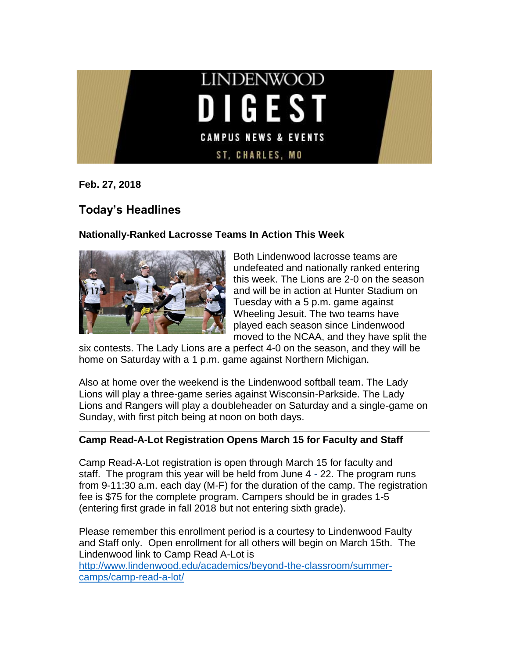

**Feb. 27, 2018**

# **Today's Headlines**

### **Nationally-Ranked Lacrosse Teams In Action This Week**



Both Lindenwood lacrosse teams are undefeated and nationally ranked entering this week. The Lions are 2-0 on the season and will be in action at Hunter Stadium on Tuesday with a 5 p.m. game against Wheeling Jesuit. The two teams have played each season since Lindenwood moved to the NCAA, and they have split the

six contests. The Lady Lions are a perfect 4-0 on the season, and they will be home on Saturday with a 1 p.m. game against Northern Michigan.

Also at home over the weekend is the Lindenwood softball team. The Lady Lions will play a three-game series against Wisconsin-Parkside. The Lady Lions and Rangers will play a doubleheader on Saturday and a single-game on Sunday, with first pitch being at noon on both days.

#### **Camp Read-A-Lot Registration Opens March 15 for Faculty and Staff**

Camp Read-A-Lot registration is open through March 15 for faculty and staff. The program this year will be held from June 4 - 22. The program runs from 9-11:30 a.m. each day (M-F) for the duration of the camp. The registration fee is \$75 for the complete program. Campers should be in grades 1-5 (entering first grade in fall 2018 but not entering sixth grade).

Please remember this enrollment period is a courtesy to Lindenwood Faulty and Staff only. Open enrollment for all others will begin on March 15th. The Lindenwood link to Camp Read A-Lot is [http://www.lindenwood.edu/academics/beyond-the-classroom/summer](http://www.lindenwood.edu/academics/beyond-the-classroom/summer-camps/camp-read-a-lot/)[camps/camp-read-a-lot/](http://www.lindenwood.edu/academics/beyond-the-classroom/summer-camps/camp-read-a-lot/)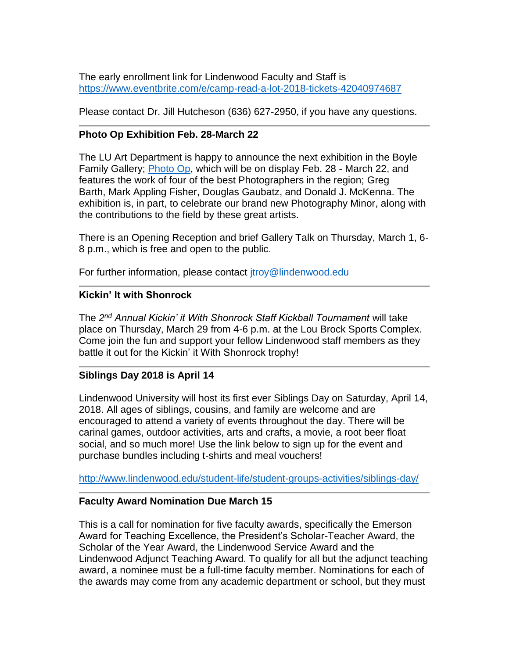The early enrollment link for Lindenwood Faculty and Staff is <https://www.eventbrite.com/e/camp-read-a-lot-2018-tickets-42040974687>

Please contact Dr. Jill Hutcheson (636) 627-2950, if you have any questions.

## **Photo Op Exhibition Feb. 28-March 22**

The LU Art Department is happy to announce the next exhibition in the Boyle Family Gallery; [Photo Op,](http://felix.lindenwood.edu/newsletter/2018_02/photoop.pdf) which will be on display Feb. 28 - March 22, and features the work of four of the best Photographers in the region; Greg Barth, Mark Appling Fisher, Douglas Gaubatz, and Donald J. McKenna. The exhibition is, in part, to celebrate our brand new Photography Minor, along with the contributions to the field by these great artists.

There is an Opening Reception and brief Gallery Talk on Thursday, March 1, 6- 8 p.m., which is free and open to the public.

For further information, please contact *itroy@lindenwood.edu* 

### **Kickin' It with Shonrock**

The *2 nd Annual Kickin' it With Shonrock Staff Kickball Tournament* will take place on Thursday, March 29 from 4-6 p.m. at the Lou Brock Sports Complex. Come join the fun and support your fellow Lindenwood staff members as they battle it out for the Kickin' it With Shonrock trophy!

## **Siblings Day 2018 is April 14**

Lindenwood University will host its first ever Siblings Day on Saturday, April 14, 2018. All ages of siblings, cousins, and family are welcome and are encouraged to attend a variety of events throughout the day. There will be carinal games, outdoor activities, arts and crafts, a movie, a root beer float social, and so much more! Use the link below to sign up for the event and purchase bundles including t-shirts and meal vouchers!

<http://www.lindenwood.edu/student-life/student-groups-activities/siblings-day/>

## **Faculty Award Nomination Due March 15**

This is a call for nomination for five faculty awards, specifically the Emerson Award for Teaching Excellence, the President's Scholar-Teacher Award, the Scholar of the Year Award, the Lindenwood Service Award and the Lindenwood Adjunct Teaching Award. To qualify for all but the adjunct teaching award, a nominee must be a full-time faculty member. Nominations for each of the awards may come from any academic department or school, but they must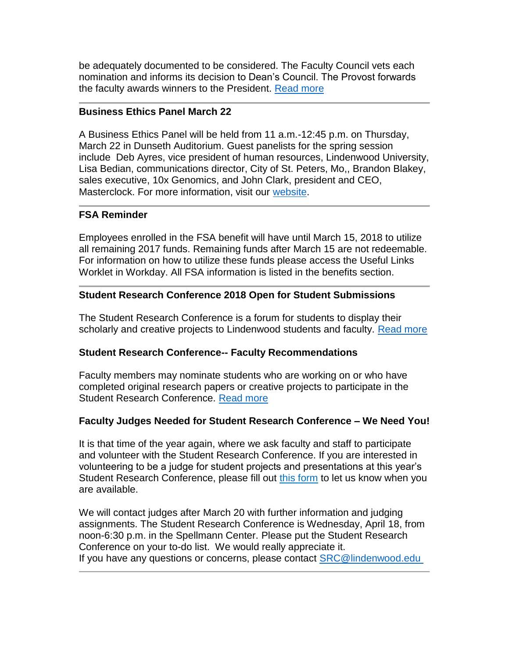be adequately documented to be considered. The Faculty Council vets each nomination and informs its decision to Dean's Council. The Provost forwards the faculty awards winners to the President. [Read more](http://felix.lindenwood.edu/newsletter/2018_02/facultyawards.pdf)

#### **Business Ethics Panel March 22**

A Business Ethics Panel will be held from 11 a.m.-12:45 p.m. on Thursday, March 22 in Dunseth Auditorium. Guest panelists for the spring session include Deb Ayres, vice president of human resources, Lindenwood University, Lisa Bedian, communications director, City of St. Peters, Mo,, Brandon Blakey, sales executive, 10x Genomics, and John Clark, president and CEO, Masterclock. For more information, visit our [website.](http://www.lindenwood.edu/academics/centers-institutes/the-hammond-institute/events/)

#### **FSA Reminder**

Employees enrolled in the FSA benefit will have until March 15, 2018 to utilize all remaining 2017 funds. Remaining funds after March 15 are not redeemable. For information on how to utilize these funds please access the Useful Links Worklet in Workday. All FSA information is listed in the benefits section.

#### **Student Research Conference 2018 Open for Student Submissions**

The Student Research Conference is a forum for students to display their scholarly and creative projects to Lindenwood students and faculty. [Read more](http://felix.lindenwood.edu/newsletter/2018_02/studentresearchconference.pdf)

#### **Student Research Conference-- Faculty Recommendations**

Faculty members may nominate students who are working on or who have completed original research papers or creative projects to participate in the Student Research Conference. [Read more](http://felix.lindenwood.edu/newsletter/2018_02/studentresearchconference.pdf)

#### **Faculty Judges Needed for Student Research Conference – We Need You!**

It is that time of the year again, where we ask faculty and staff to participate and volunteer with the Student Research Conference. If you are interested in volunteering to be a judge for student projects and presentations at this year's Student Research Conference, please fill out [this form](http://www.lindenwood.edu/academics/beyond-the-classroom/student-research/faculty-judge-volunteer-form/) to let us know when you are available.

We will contact judges after March 20 with further information and judging assignments. The Student Research Conference is Wednesday, April 18, from noon-6:30 p.m. in the Spellmann Center. Please put the Student Research Conference on your to-do list. We would really appreciate it. If you have any questions or concerns, please contact [SRC@lindenwood.edu](mailto:SRC@lindenwood.edu )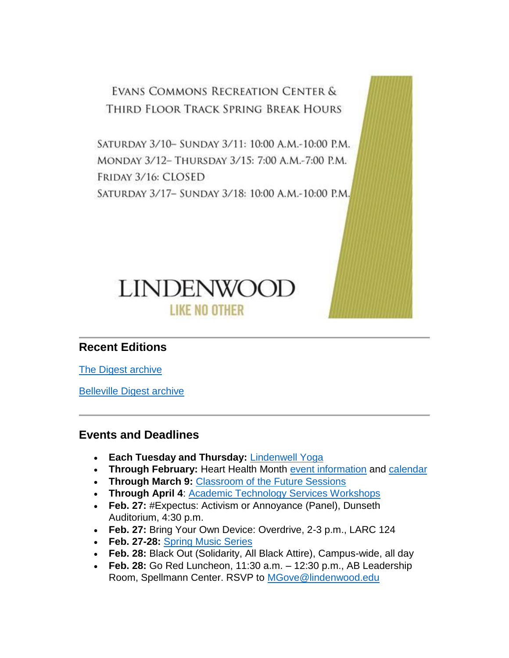EVANS COMMONS RECREATION CENTER & THIRD FLOOR TRACK SPRING BREAK HOURS

SATURDAY 3/10- SUNDAY 3/11: 10:00 A.M.-10:00 P.M. MONDAY 3/12- THURSDAY 3/15: 7:00 A.M.-7:00 P.M. FRIDAY 3/16: CLOSED SATURDAY 3/17- SUNDAY 3/18: 10:00 A.M.-10:00 P.M.



## **Recent Editions**

[The Digest archive](http://www.lindenwood.edu/about/digest-archives/)

[Belleville Digest archive](http://www.lindenwood.edu/belleville/about/lindenwood-belleville-digest-archives/)

## **Events and Deadlines**

- **Each Tuesday and Thursday:** [Lindenwell Yoga](http://felix.lindenwood.edu/newsletter/2018_02/lindenwellyoga.pdf)
- **Through February:** Heart Health Month [event information](http://felix.lindenwood.edu/newsletter/2018_02/hearthealthinfo.pdf) and [calendar](http://felix.lindenwood.edu/newsletter/2018_02/heartcalendar.pdf)
- **Through March 9:** [Classroom of the Future Sessions](http://felix.lindenwood.edu/newsletter/2018_02/classroomofthefuture.pdf)
- **Through April 4**: [Academic Technology Services Workshops](http://felix.lindenwood.edu/newsletter/2018_01/ats_spring_catalog.pdf)
- **Feb. 27:** #Expectus: Activism or Annoyance (Panel), Dunseth Auditorium, 4:30 p.m.
- **Feb. 27:** Bring Your Own Device: Overdrive, 2-3 p.m., LARC 124
- **Feb. 27-28:** [Spring Music Series](http://www.lindenwood.edu/j-scheidegger-center-for-the-arts/upcoming-events/music/)
- **Feb. 28:** Black Out (Solidarity, All Black Attire), Campus-wide, all day
- **Feb. 28:** Go Red Luncheon, 11:30 a.m. 12:30 p.m., AB Leadership Room, Spellmann Center. RSVP to [MGove@lindenwood.edu](mailto:MGove@lindenwood.edu)